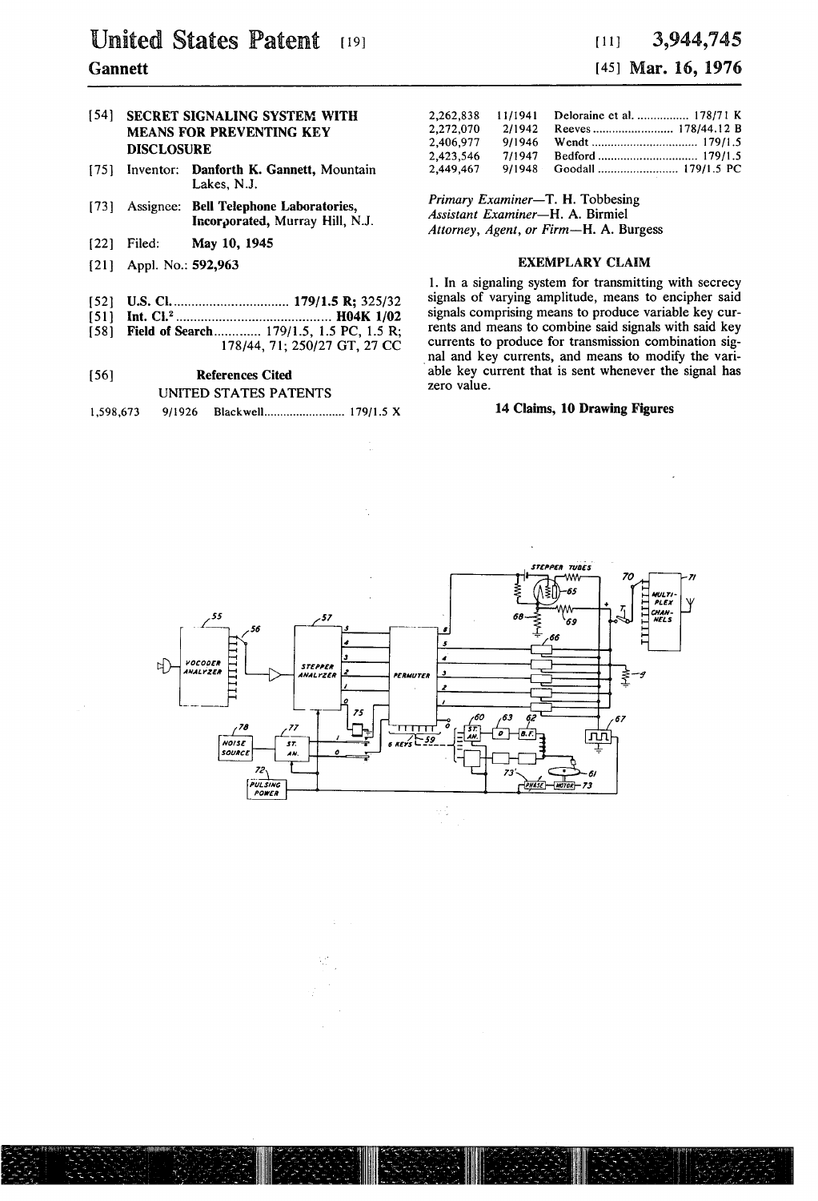# **United States Patent**  $[19]$ **Gannett**

## [54] SECRET SIGNALING SYSTEM WITH **MEANS FOR PREVENTING KEY DISCLOSURE**

- [75] Inventor: Danforth K. Gannett, Mountain Lakes, N.J.
- [73] Assignee: Bell Telephone Laboratories, Incorporated, Murray Hill, N.J.
- $[22]$ Filed: May 10, 1945
- Appl. No.: 592,963  $[21]$
- $[52]$
- $[51]$
- $[58]$ Field of Search............. 179/1.5, 1.5 PC, 1.5 R; 178/44, 71, 250/27 GT, 27 CC

#### $[56]$ **References Cited UNITED STATES PATENTS** 9/1926 Blackwell.......................... 179/1.5 X 1,598,673

| 2.262.838 | 11/1941 | Deloraine et al.  178/71 K |  |
|-----------|---------|----------------------------|--|
| 2,272,070 | 2/1942  |                            |  |
| 2.406.977 | 9/1946  |                            |  |
| 2.423.546 | 7/1947  |                            |  |
| 2,449,467 | 9/1948  |                            |  |

Primary Examiner-T. H. Tobbesing Assistant Examiner-H. A. Birmiel Attorney, Agent, or Firm-H. A. Burgess

### **EXEMPLARY CLAIM**

1. In a signaling system for transmitting with secrecy signals of varying amplitude, means to encipher said signals comprising means to produce variable key currents and means to combine said signals with said key currents to produce for transmission combination signal and key currents, and means to modify the variable key current that is sent whenever the signal has zero value.

#### 14 Claims, 10 Drawing Figures

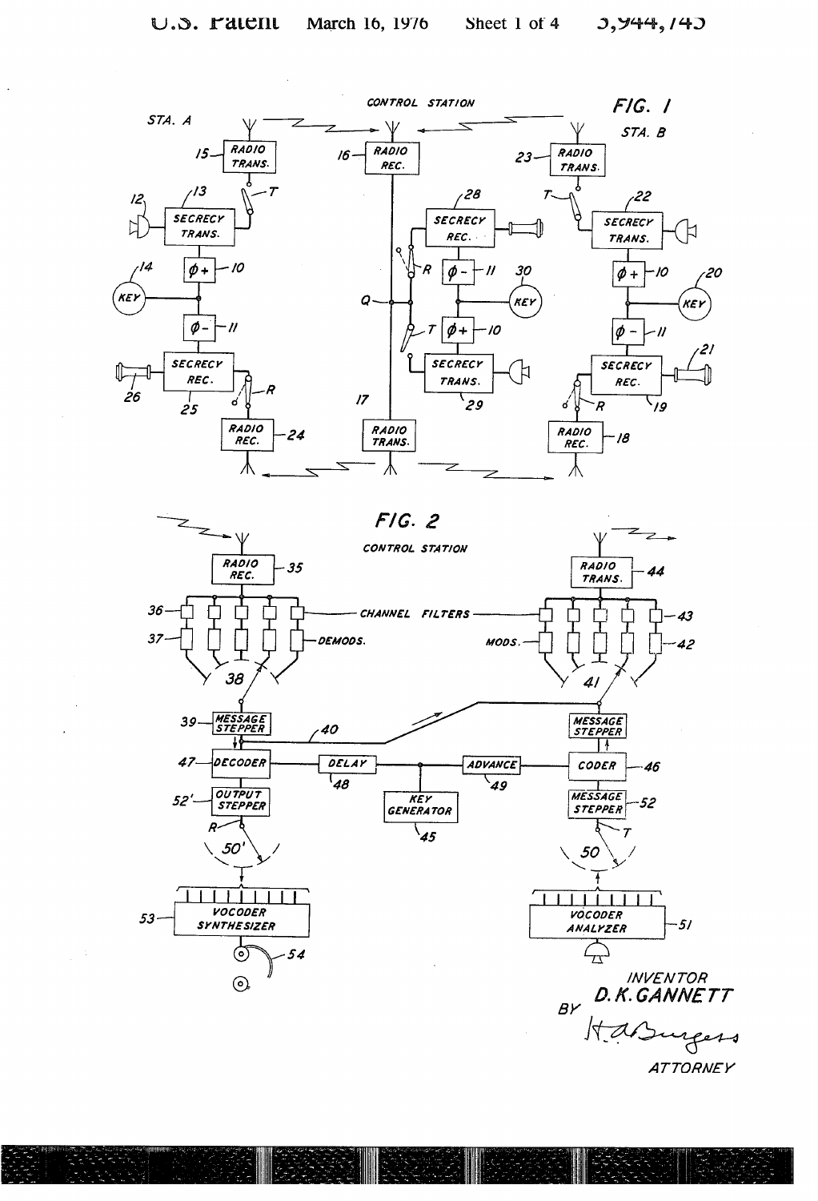March 16, 1976

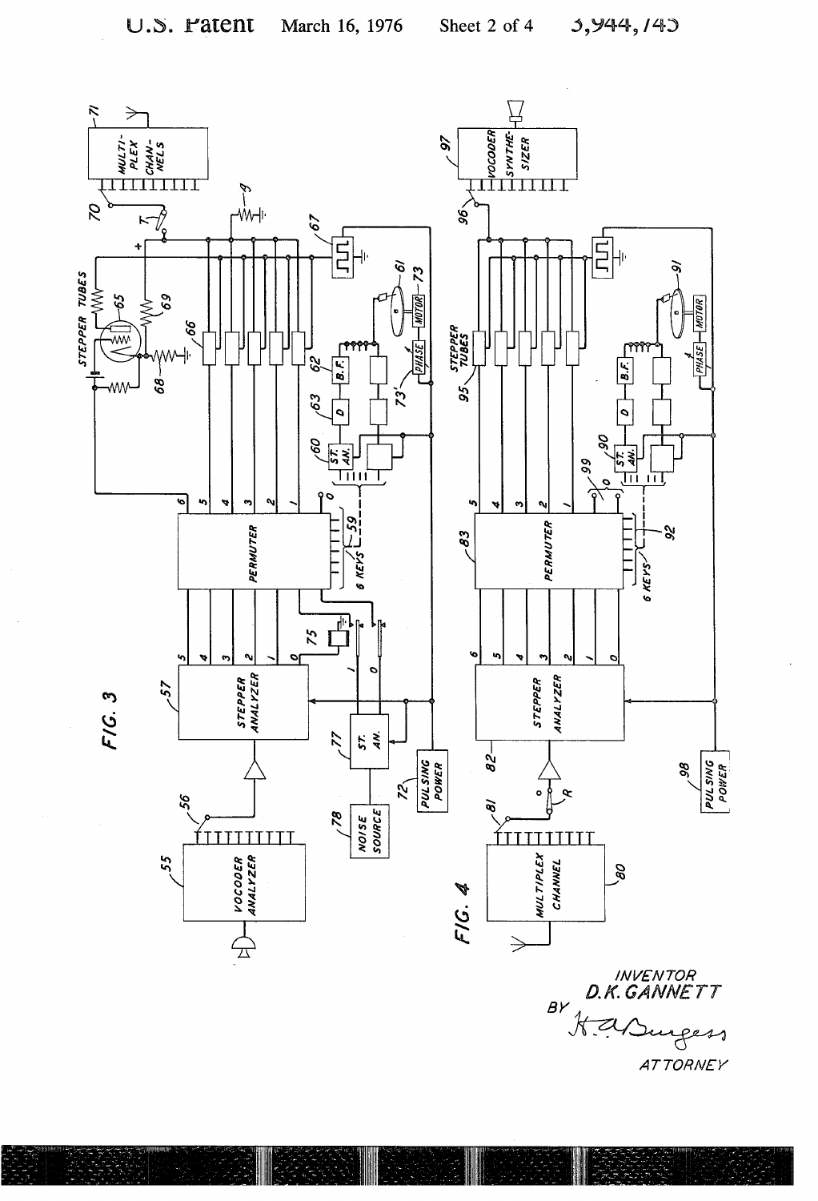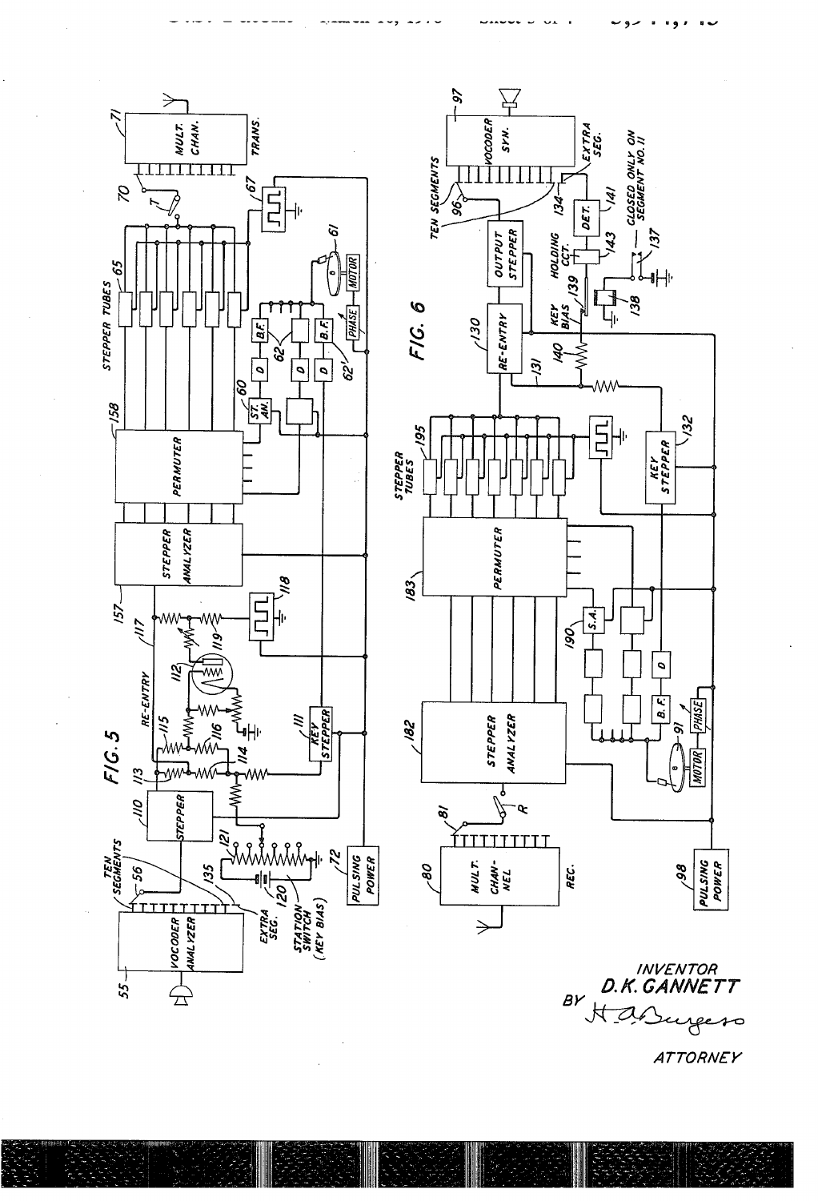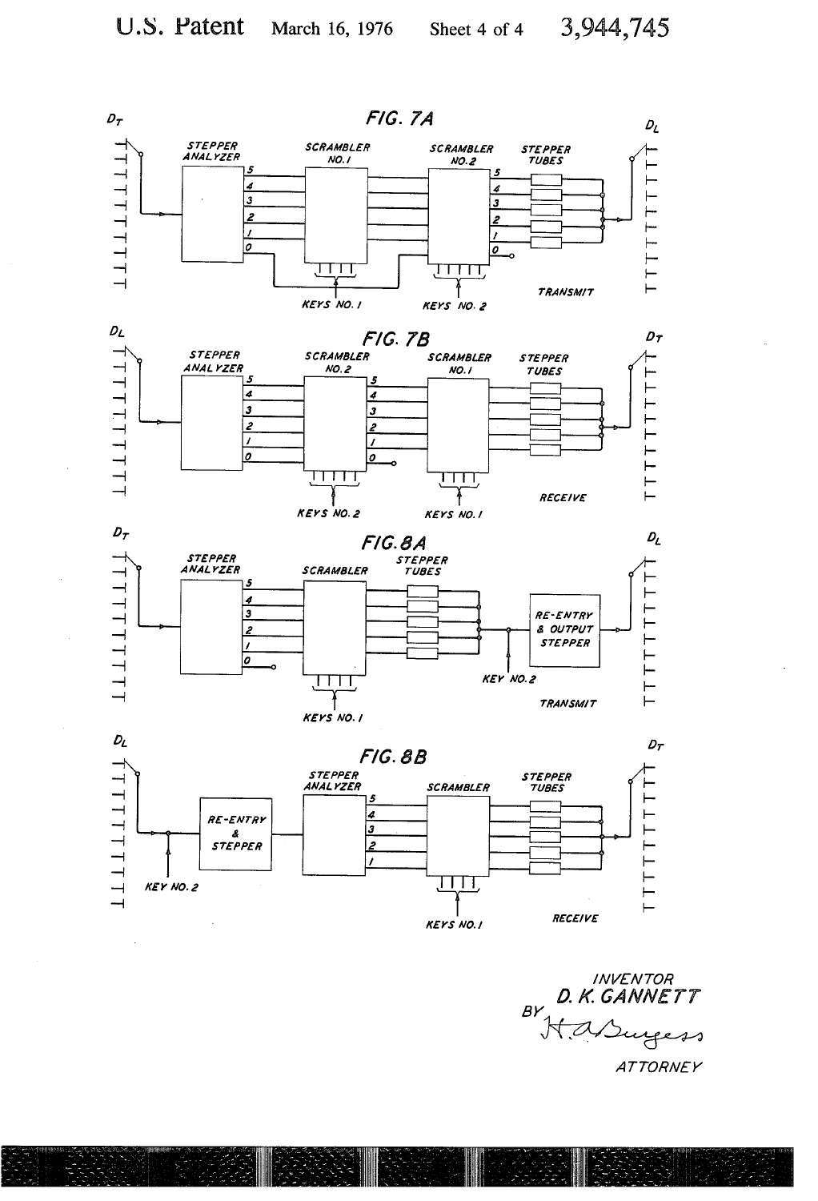

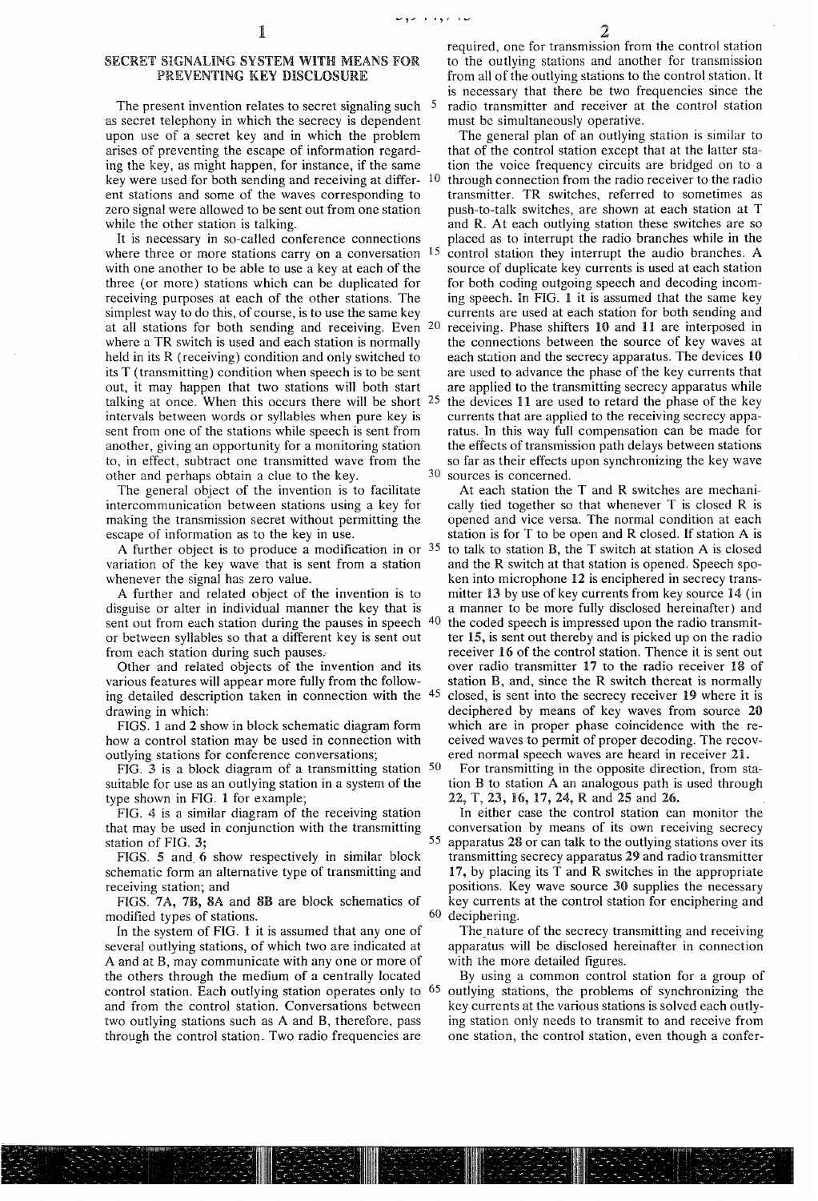### SECRET SIGNALING SYSTEM WITH MEANS FOR PREVENTING KEY DISCLOSURE

The present invention relates to secret signaling such 5 as secret telephony in which the secrecy is dependent upon use of a secret key and in which the problem arises of preventing the escape of information regard ing the key, as might happen, for instance, if the same key were used for both sending and receiving at differ-  $10<sup>-10</sup>$ ent stations and some of the waves corresponding to zero signal were allowed to be sent out from one station while the other station is talking.

It is necessary in so-called conference connections where three or more stations carry on a conversation 15 with one another to be able to use a key at each of the three (or more) stations which can be duplicated for receiving purposes at each of the other stations. The simplest way to do this, of course, is to use the same key at all stations for both sending and receiving. Even where a TR switch is used and each station is normally held in its R (receiving) condition and only switched to its T (transmitting) condition when speech is to be sent out, it may happen that two stations will both start talking at once. When this occurs there will be short 25 intervals between words or syllables when pure key is sent from one of the stations while speech is sent from another, giving an opportunity for a monitoring station to, in effect, subtract one transmitted wave from the other and perhaps obtain a clue to the key.

The general object of the invention is to facilitate intercommunication between stations using a key for making the transmission secret without permitting the escape of information as to the key in use.

A further object is to produce a modification in or  $35$ variation of the key wave that is sent from a station whenever the signal has zero value.

A further and related object of the invention is to disguise or alter in individual manner the key that is sent out from each station during the pauses in speech 40 or between syllables so that a different key is sent out from each station during such pauses.

Other and related objects of the invention and its various features will appear more fully from the follow drawing in which:

FIGS. 1 and 2 show in block schematic diagram form how a control station may be used in connection with outlying stations for conference conversations;

FIG. 3 is a block diagram of a transmitting station 50 suitable for use as an outlying station in a system of the type shown in FIG. 1 for example;

FIG. 4 is a similar diagram of the receiving station that may be used in conjunction with the transmitting station of FIG. 3;

FIGS. 5 and 6 show respectively in similar block schematic form an alternative type of transmitting and receiving station; and

FIGS. 7A, 78, 8A and 8B are block schematics of modified types of stations.

In the system of FIG. 1 it is assumed that any one of several outlying stations, of which two are indicated at A and at B, may communicate with any one or more of the others through the medium of a centrally located and from the control station. Conversations between two outlying stations such as A and B, therefore, pass through the control station. Two radio frequencies are

required, one for transmission from the control station to the outlying stations and another for transmission from all of the outlying stations to the control station. It is necessary that there be two frequencies since the radio transmitter and receiver at the control station must be simultaneously operative.

30 sources is concerned. The general plan of an outlying station is similar to that of the control station except that at the latter sta tion the voice frequency circuits are bridged on to a through connection from the radio receiver to the radio transmitter. TR switches, referred to sometimes as push-to-talk switches, are shown at each station at T and R. At each outlying station these switches are so placed as to interrupt the radio branches while in the control station they interrupt the audio branches. A source of duplicate key currents is used at each station for both coding outgoing speech and decoding incom ing speech. In FIG. I it is assumed that the same key currents are used at each station for both sending and receiving. Phase shifters 10 and 11 are interposed in the connections between the source of key waves at each station and the secrecy apparatus. The devices 10 are used to advance the phase of the key currents that are applied to the transmitting secrecy apparatus while the devices II are used to retard the phase of the key currents that are applied to the receiving secrecy appa ratus. In this way full compensation can be made for the effects of transmission path delays between stations so far as their effects upon synchronizing the key wave

ing detailed description taken in connection with the 45 closed, is sent into the secrecy receiver 19 where it is At each station the T and R switches are mechani cally tied together so that whenever T is closed R is opened and vice versa. The normal condition at each station is for T to be open and R closed. If station A is to talk to station B, the T switch at station A is closed and the R switch at that station is opened. Speech spo ken into microphone I2 is enciphered in secrecy trans mitter 13 by use of key currents from key source 14 (in a manner to be more fully disclosed hereinafter) and the coded speech is impressed upon the radio transmit ter 15, is sent out thereby and is picked up on the radio receiver 16 of the control station. Thence it is sent out over radio transmitter 17 to the radio receiver 18 of station B, and, since the R switch thereat is normally deciphered by means of key waves from source 20 which are in proper phase coincidence with the re ceived waves to permit of proper decoding. The recov ered normal speech waves are heard in receiver 21.

For transmitting in the opposite direction, from sta tion B to station A an analogous path is used through  $22$ , T,  $23$ ,  $16$ ,  $17$ ,  $24$ , R and  $25$  and  $26$ .

55 60 deciphering. In either case the control station can monitor the conversation by means of its own receiving secrecy apparatus 28 or can talk to the outlying stations over its transmitting secrecy apparatus 29 and radio transmitter 17, by placing its T and R switches in the appropriate positions. Key wave source 30 supplies the necessary key currents at the control station for enciphering and

The nature of the secrecy transmitting and receiving apparatus will be disclosed hereinafter in connection with the more detailed figures.

control station. Each outlying station operates only to <sup>65</sup> outlying stations, the problems of synchronizing the By using a common control station for a group of key currents at the various stations is solved each outly ing station only needs to transmit to and receive from one station, the control station, even though a confer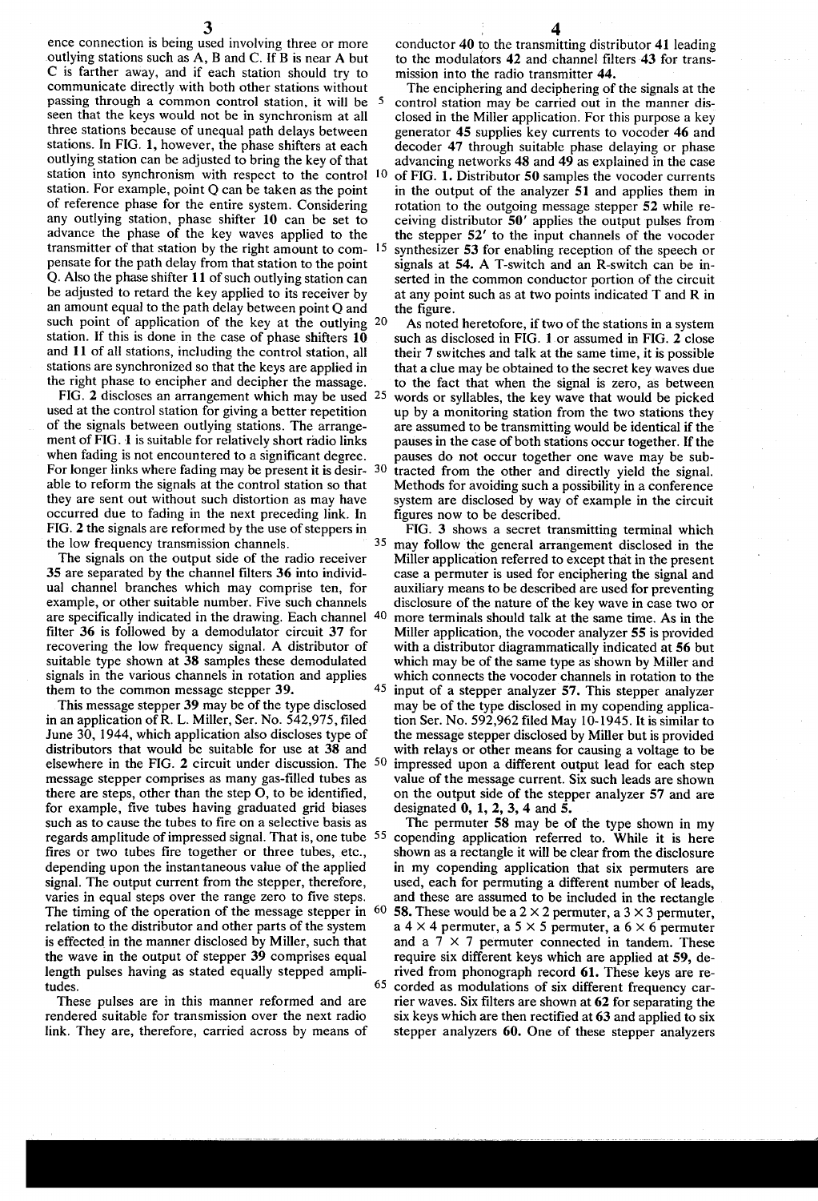ence connection is being used involving three or more outlying stations such as A, B and C. If B is near A but C is farther away, and if each station should try to communicate directly with both other stations without passing through a common control station, it will be  $\overline{\mathbf{5}}$ seen that the keys would not be in synchronism at all three stations because of unequal path delays between stations. In FIG. 1, however, the phase shifters at each outlying station can be adjusted to bring the key of that station into synchronism with respect to the control 10 station. For example, point Q can be taken as the point of reference phase for the entire system. Considering any outlying station, phase shifter 10 can be set to advance the phase of the key waves applied to the transmitter of that station by the right amount to com- 15 pensate for the path delay from that station to the point Q. Also the phase shifter 11 of such outlying station can be adjusted to retard the key applied to its receiver by an amount equal to the path delay between point Q and such point of application of the key at the outlying 20 station. If this is done in the case of phase shifters  $10$ and 11 of all stations, including the control station, all stations are synchronized so that the keys are applied in the right phase to encipher and decipher the massage.

FIG. 2 discloses an arrangement which may be used 25 used at the control station for giving a better repetition of the signals between outlying stations. The arrangement of FIG. 1 is suitable for relatively short radio links when fading is not encountered to a significant degree. For longer links where fading may be present it is desir- 30 able to reform the signals at the control station so that they are sent out without such distortion as may have occurred due to fading in the next preceding link. In FIG. 2 the signals are reformed by the use of steppers in 35 the low frequency transmission channels.

The signals on the output side of the radio receiver 35 are separated by the channel filters 36 into individual channel branches which may comprise ten, for example, or other suitable number. Five such channels are specifically indicated in the drawing. Each channel 40 filter 36 is followed by a demodulator circuit 37 for recovering the low frequency signal. A distributor of suitable type shown at 38 samples these demodulated signals in the various channels in rotation and applies 45 them to the common message stepper 39.

This message stepper 39 may be of the type disclosed in an application of R. L. Miller, Ser. No. 542,975, filed June 30, 1944, which application also discloses type of distributors that would be suitable for use at 38 and elsewhere in the FIG. 2 circuit under discussion. The 50 message stepper comprises as many gas-filled tubes as there are steps, other than the step  $\overline{O}$ , to be identified, for example, five tubes having graduated grid biases such as to cause the tubes to fire on a selective basis as regards amplitude of impressed signal. That is, one tube 55 fires or two tubes fire together or three tubes, etc., depending upon the instantaneous value of the applied signal. The output current from the stepper, therefore, varies in equal steps over the range zero to five steps. The timing of the operation of the message stepper in 60 58. These would be a  $2 \times 2$  permuter, a  $3 \times 3$  permuter, relation to the distributor and other parts of the system is effected in the manner disclosed by Miller, such that the wave in the output of stepper 39 comprises equal length pulses having as stated equally stepped ampli-65 tudes.

These pulses are in this manner reformed and are rendered suitable for transmission over the next radio link. They are, therefore, carried across by means of conductor 40 to the transmitting distributor 41 leading to the modulators 42 and channel filters 43 for transmission into the radio transmitter 44.

The enciphering and deciphering of the signals at the control station may be carried out in the manner disclosed in the Miller application. For this purpose a key generator 45 supplies key currents to vocoder 46 and decoder 47 through suitable phase delaying or phase advancing networks 48 and 49 as explained in the case of FIG. 1. Distributor 50 samples the vocoder currents in the output of the analyzer 51 and applies them in rotation to the outgoing message stepper 52 while receiving distributor 50' applies the output pulses from the stepper 52' to the input channels of the vocoder synthesizer 53 for enabling reception of the speech or signals at 54. A T-switch and an R-switch can be inserted in the common conductor portion of the circuit at any point such as at two points indicated T and R in the figure.

As noted heretofore, if two of the stations in a system such as disclosed in FIG. 1 or assumed in FIG. 2 close their 7 switches and talk at the same time, it is possible that a clue may be obtained to the secret key waves due to the fact that when the signal is zero, as between words or syllables, the key wave that would be picked up by a monitoring station from the two stations they are assumed to be transmitting would be identical if the pauses in the case of both stations occur together. If the pauses do not occur together one wave may be subtracted from the other and directly yield the signal. Methods for avoiding such a possibility in a conference system are disclosed by way of example in the circuit figures now to be described.

FIG. 3 shows a secret transmitting terminal which may follow the general arrangement disclosed in the Miller application referred to except that in the present case a permuter is used for enciphering the signal and auxiliary means to be described are used for preventing disclosure of the nature of the key wave in case two or more terminals should talk at the same time. As in the Miller application, the vocoder analyzer 55 is provided with a distributor diagrammatically indicated at 56 but which may be of the same type as shown by Miller and which connects the vocoder channels in rotation to the input of a stepper analyzer 57. This stepper analyzer may be of the type disclosed in my copending application Ser. No. 592,962 filed May 10-1945. It is similar to the message stepper disclosed by Miller but is provided with relays or other means for causing a voltage to be impressed upon a different output lead for each step value of the message current. Six such leads are shown on the output side of the stepper analyzer 57 and are designated  $0, 1, 2, 3, 4$  and 5.

The permuter 58 may be of the type shown in my copending application referred to. While it is here shown as a rectangle it will be clear from the disclosure in my copending application that six permuters are used, each for permuting a different number of leads, and these are assumed to be included in the rectangle a  $4 \times 4$  permuter, a  $5 \times 5$  permuter, a  $6 \times 6$  permuter and a  $7 \times 7$  permuter connected in tandem. These require six different keys which are applied at 59, derived from phonograph record 61. These keys are recorded as modulations of six different frequency carrier waves. Six filters are shown at 62 for separating the six keys which are then rectified at 63 and applied to six stepper analyzers 60. One of these stepper analyzers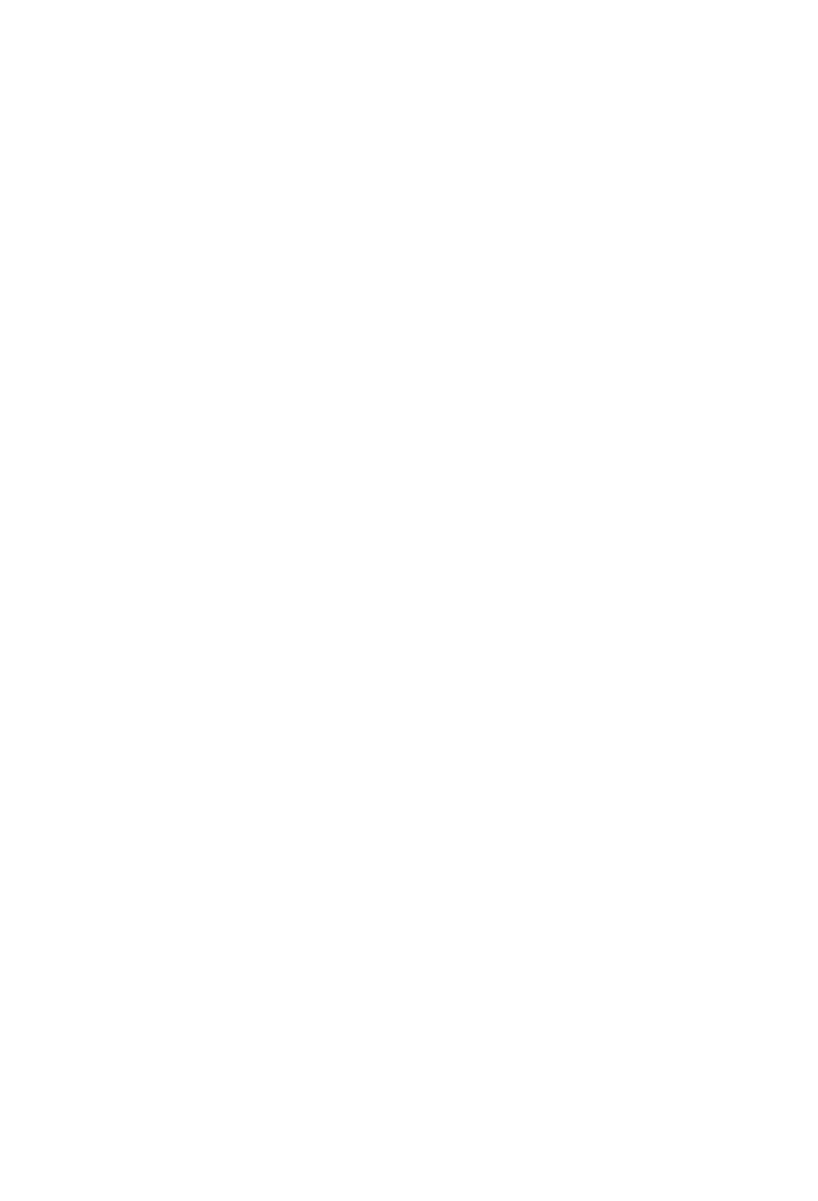-5

5

has seven relays and seven output leads which provide the key for the  $7 \times 7$  permuter. Each other stepper analyzer has one less relay and output lead for supplying the next permuter, the smallest number of such output leads being two. The six short lines at 59 and also those shown emerging from the stepper analyzers 60 are each intended to represent a plurality of leads, the number varying from two to seven.

As explained in detail in my copending application referred to, the operation of the permuter  $58$  is to set  $10$ up in its output leads, one at a time, designated  $0, 1, 2$ , 3, 4, 5 and 6, a voltage in response to application of a voltage from the individual output leads of the stepper analyzer 57, and to distribute such voltage over the permuter output leads on a substantially random basis. For example, a voltage appearing on output lead 5 of stepper analyzer 57 has a substantially equal chance of impressing a voltage on any given output conductor leading from the permuter 58. This is also true of each of the other input conductors. The randomness of dis- 20 tribution depends, of course, upon the randomness of the key and this can be made as nearly random as desired by means known in the art.

Since any lead in the output of the permuter has the same value of voltage applied to it when such lead is 25 chosen, it is necessary to convert these voltages on the various leads into voltages having different step values for transmission from this terminal. This is accomplished by means of the stepper tubes one of which is shown at 65 and the others indicated by the boxes 66. -30 These stepper tubes are gas-filled tubes which remain quiescent unless positive voltage is applied to their input terminals to overcome the normal negative bias on the grid at the time the pulsing power supply 67 applies positive voltage to the stepper tube plate. When 35 this occurs the tube fires and transmits current through the resistor 68. The voltage across resistor 68 is applied via series resistors  $69$  and  $y$  to the input terminal of the output distributor 70 leading to the multiplex transmitter 71. By differently proportioning the resistors 68 and 40 69 in individual channels with respect to each other and resistance y each channel may be made to apply a different step value of voltage to the output distributor 70.

A source of pulsing power 72 is shown as supplying 45 energizing and timing waves to the stepper analyzers 57,  $60$  and 77 (to be described) and to the motor 73 which drives the record 61. The phase or time relation of the keys derived at 61 is adjustable by means of phase shifter 73 in the driving circuit of motor 73.

The special means for preventing disclosure of the key wave in case a plurality of stations transmit at the same time will now be described. The zero output lead of stepper analyzer 57 is not carried through to the permuter 58 but is carried to ground through a relay 55 75. Whenever the signal is zero a voltage is applied by the stepper analyzer to this zero lead. Relay 75 is, therefore, operated each time the stepper analyzer puts out a pulse on the zero lead. Relay 75 attracts its armatures and applies a voltage to the lowermost pair of 60 input terminals of the permuter 58 from a special stepper analyzer 77 operated from noise source 78. The noise source 78 applies a highly irregular and unpredictable wave to the input of the stepper analyzer 77 which is actuated under control of the pulsing power 65 from source 72 to sample this highly irregular wave at intervals. The stepper analyzer 77 is similar to stepper analyzer 57 except that it distinguishes only two step

values of the input waves and by means of two relay contacts energizes one or the other of its two output leads, depending upon whether the noise wave has a value greater or less than a given amount at the instant of sampling. The result is that during pauses in the speech the permuter 58 receives input voltages over either of the lowermost two input leads and these are distributed under control of the key wave over the seven permuter output leads in a similar manner to the signal. The zero output lead from the permuter is left open or unterminated, thus giving the appearance of transmitting normal signals since occasional zero values in the transmitted wave will appear. Since the noise wave produced in each station will always differ from 15 that produced in any other station, the waves sent out when the speech is zero will always differ from station to station and nothing can be learned, therefore, from comparing simultaneous transmissions.

Referring to the receiving terminal of FIG. 4, the waves transmitted from the station shown in FIG. 3 are received at 80 and applied by means of distributor 81 to the stepper analyzer 82. Duplicate key waves are supplied from duplicate record 91 to the stepper analyzer 90 which supplies six keys to the permuter input leads 92 identical with the keys supplied at 59. The permuter 83, therefore, supplies to its output leads 1 to 5 deciphered currents corresponding to those existing on the leads 1 to 5 in the output of stepper analyzer 57. It will be understood that these voltages have the same value on all leads but that the leads on which a voltage individually appears correspond with one another. These five output permuter leads are connected to stepper tubes 95 which are similar to the tube 65 and are arranged to deliver stepped values of output current to the output distributor 96 for application to the individual channels of the vocoder synthesizer 97. Pulsing power supply for this terminal is derived at 98 running in synchronism with the pulsing power supply 72 at the distant station.

The lowermost two leads  $\theta$  and  $\theta$  in the output of the stepper analyzer 82 are carried into the permuter 83 which is provided with a corresponding pair of output leads at 99. It will be observed that the only voltages which appear on the output leads 99 are those corresponding to the voltages impressed at the transmitting station from stepper analyzer 77 under control of relay 75 and that these voltages contain no information as to the signal except that the signal has the value 0. These two leads are, therefore, merely left unterminated at 99 50 since all information as to the signal values other than zero are carried by the permuter signal leads 1 to 5.

It is seen from the above description that the result of using the noise source 78 and stepper analyzer 77 is to apply a certain amount of useless information as regards the signal, which information is discarded at the receiver. The character of the useless information differs from station to station but the message can be received at any station of the system. This information, which is useless so far as the signal is concerned, has the effect of transmitting a different "raw" key from each station when the signal has zero value and therefore prevents discovery of the key by comparison of simultaneous transmission from two or more stations of the system.

Reference will now be made to FIGS. 5 and 6 which show a different means for preventing escape of information concerning the key. In FIG. 5 the vocoder analyzer 55 and distributor 56 at the input end of the sys-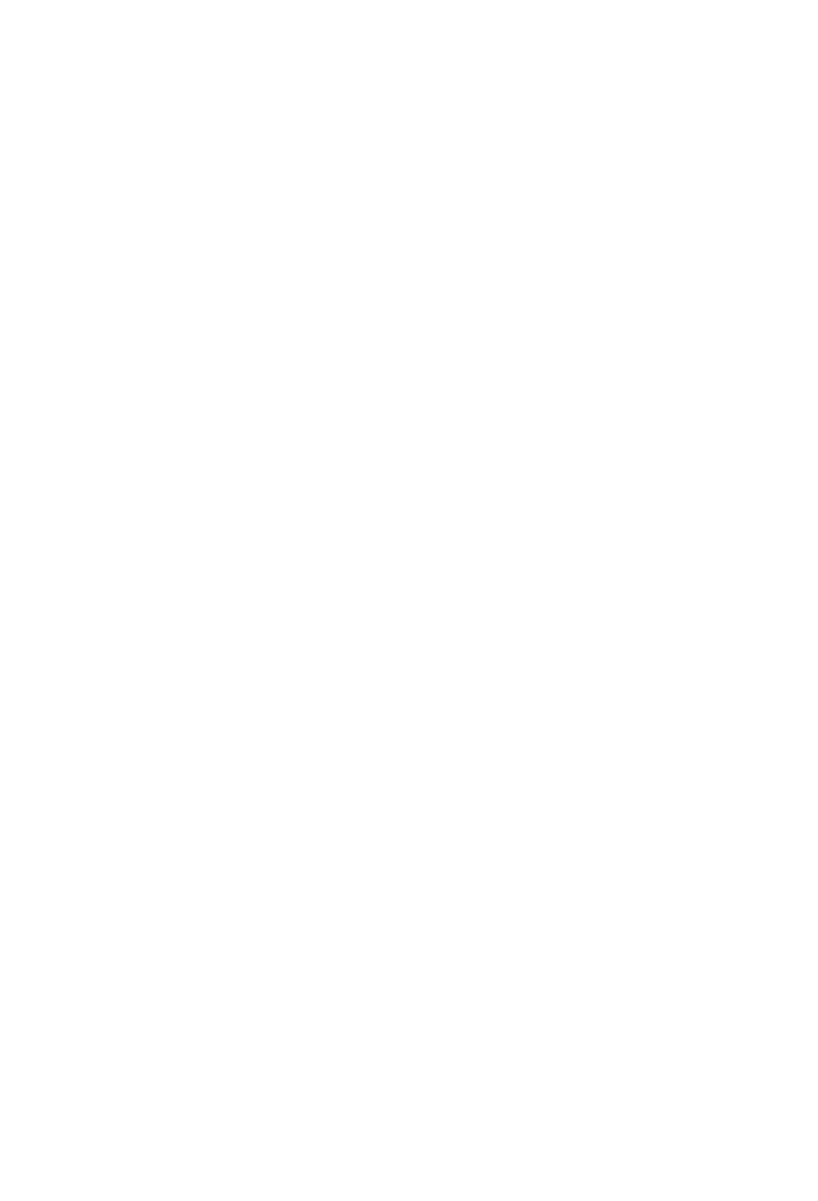tem and also the stepper tubes 65, distributor 70 and transmitting terminal 71 at the output end of the terminal may be the same as in the case of FIG. 3. The stepper 110 and reentry 112 may be identically the same as the message stepper and reentry disclosed in the Miller application above referred to. Reentry 112 is followed by stepper analyzer 157 which, except for the number of output terminals used, may be the same as stepper analyzer 57 of FIG. 3. The permuter 158 may likewise be the same as permuter 58 of FIG. 3 except for the 10 number of conductors used.

The key waves which are derived from the record 61 contain six keys five of which are separated by means of the five band filters 62 and the sixth is selected by filter 62'. Filters 62 supply keys to the stepper analy-15 zers 60 for energizing the key input terminals of the permuter 158. The key inputs have, respectively, 2 leads, 3 leads, 4 leads, 5 leads and 6 leads for the five individual permuters assumed to be included in box 158. filter 62' supplies its key to the key stepper 111, 20 which may be the same in construction as the message stepper 110.

The manner in which the output currents of the message stepper 110 and the key stepper 111 are applied to the reentry 112 is the same as that disclosed in the 25 Miller applications. Each stepper produces pulses which are negative in the sense that they represent diminutions of current from the maximum positive value corresponding to zero input of message and key. These pulses are combined additively in the high resis- 30 tance circuits 113, 114 and 115, 116. The combined message and key pulses are applied directly over conductor 117 to the input of the stepper analyzer 167. They are also applied to the grid of the reentry circuit 112 whose plate is supplied with pulsing power from 35 source 118. This gas tube 112 has its negative grid voltage adjusted to the point where the tube fires each time that no reentry is to take place, and the summation voltage steps from the key stepper and message stepper, combined with the voltage from 118 flowing through resistor 119 in the plate circuit of the tube 112, is applied to the input of the stepper analyzer 157. If reentry is to take place, tube 112 fails to fire since the summation-message-plus-key steps throw the voltage applied to the grid too far in the negative direction to 45 that appears on segment 134 is that due to the direct permit tube 112 to fire, and the resulting absence of current flow through resistor 119, in effect, subtracts a constant voltage from the pulse voltage on conductor 117 as compared with the no-reentry case. This action is all in accordance with the disclosure of the Miller 50 application.

In accordance with a feature of the present invention a battery 120 and a potentiometer 121 are provided with voltage taps corresponding to steps of key voltage for applying a fixed amount of bias to the key appearing 55 in the output of the key stepper 111. The position of the slider on this potentiometer 121 is made different at each station of the system so that in the illustrated case a maximum of six stations is accommodated. The effect of applying this steady direct voltage bias is to change 60 by a fixed number of steps the voltage applied at any instant to the input of stepper analyzer 157. This has the effect of altering the output conductor of the stepper analyzer that has a voltage applied to it at any particular moment. When the signal is zero, therefore, 65 each station sends out a different wave since the wave sent out is determined not only by the key wave but by the steady bias which differs from station to station. An

extra segment 135 on distributor 56 allows an indication of this bias to be transmitted to the distant station once in each cycle of the distributor. Segment 135 is unconnected to the message circuits so that in this segment interval only key plus bias is sent. By subtracting the keys at the receiver, the bias value is obtained.

As in the Miller application the pulsing supplies 118 and 67 as well as those used for the stepper analyzers may be properly phased with respect to each other and this is also true of the driving means for distributors 56 and 70. For example, the timing of the reentry circuit is adjusted to sample the output pulses from stepper 110 at about their middle point. The stepper analyzer 157 samples the reentry pulses at about their middle point. This relation also holds for the stepper tubes 65 so that the distributor 70 must lag behind the distributor 56 by a fixed amount. Provision for securing this result is fully disclosed in the Miller application. These considerations apply also to FIGS. 3, 4 and 6.

Referring to FIG. 6, which shows a receiving terminal for receiving and deciphering the message sent out from the station in FIG. 5 or from a similar station, the receiver 80, distributor 81 and also the vocoder synthesizer 98 and distributor 96 may be of the same types as those disclosed in FIG. 4. The stepper analyzer 182 and the permuter 183 may be similar to 157 and 158, respectively, of FIG. 5. Stepper tubes 195 may be similar to those at 65 of FIG. 5. Reentry circuit 130 may be similar in construction and operation to 112 of FIG. 5. As a result of the action of the system up to the output of the stepper tubes 195 there are applied to the reentry 130 partially deciphered message pulses from the stepper tubes 195 which would be further deciphered by combination with the key pulses supplied to the reentry over conductor 131. The key stepper 132 supplies key pulses identical with those supplied in the output of key stepper 111 at the transmitting station. It is necessary in order the proper pulses on conductor 131 to apply also a proper amount of direct current bias. This is accomplished in the following manner.

The distributor 96 is provided with an extra segment 134 corresponding to the eleventh segment at 135 of FIG. 5. Since, as stated, segment 135 is a block segment having no signal voltage applied to it, the only voltage current bias applied at the transmitting station. Whenever the brush of the distributor passes over segment 134 a pulse of voltage is sent into detector 141 and holding circuit 143. A pair of contacts is provided at 137 to cause actuation of a relay 138 only during distributor time 11. This relay attracts its armature and opens at contact 139 a connection normally existing from conductor  $131$  through resistor  $140$  to the output of the detector 141. This connection is normally applying to conductor 131 from holding circuit 143 the necessary direct bias voltage for decoding the message but at the instant when the brush is passing over segment 134, contacts 137 are closed causing the connection to be opened at 139, and the key voltage alone without any direct bias is applied to conductor 131. This causes a voltage corresponding to the direct bias voltage to appear on the extra segment 134. The holding circuit 143 may comprise a shunt capacity in a high resistance circuit, such as to store up the voltage for subsequent use. Relay 138 allows contact 139 to remain closed while the distributor 96 is passing over the remaining segments, thus applying to conductor 131 the bias voltage stored in the holding circuit 143. In this way a bias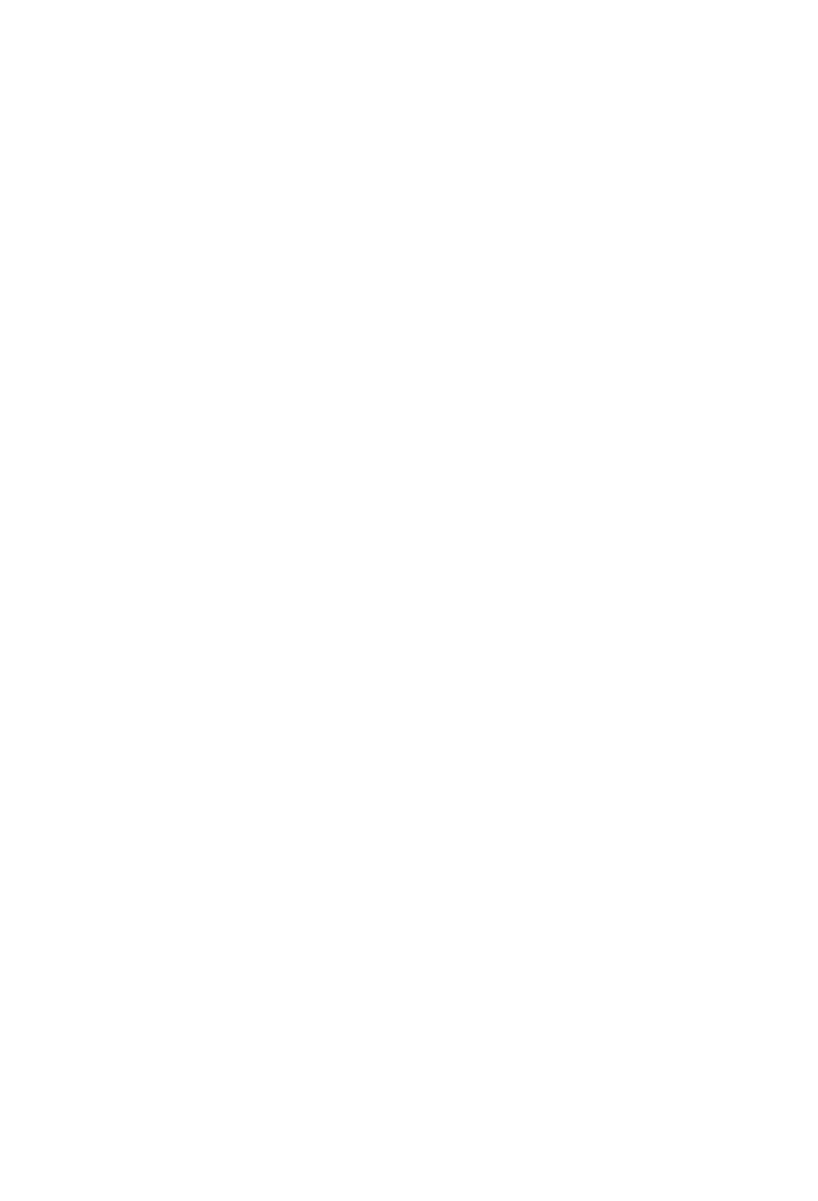voltage is automatically applied together with the key at the receiving station and is made to have the proper value for deciphering the signal regardless of which of the different transmitting stations is sending out the message. Contacts 137 may be closed by a rotary brush 5 or cam in the case of a rotating brush type distributor but if a relay type distributor is used of the type shown in the Miller application, either the contacts 137 may be springs actuated from a distributor relay or the relay 138 may itself be the distributor relay referred to.

By way of further illustration, other general methods of concealing the key when the speech is zero are shown in FIGS. 7A and 7B, and 8A and 8B. In each of these figures only the high speed portion of the terminal occurring between the input and output distributors 15 is shown since the apparatus on the other side of the distributors, that is not shown in these figures, may be the same as shown in the system of FIGS. 3 to 6. The distributors identified as  $D<sub>T</sub>$  are the distributors which analyzer of the vocoder synthesizer. The distributors  $D<sub>L</sub>$  are those which face the line of transmission channel between stations.

Referring to FIG. 7A which represents the transmitter, the stepper analyzer provides for a six-valued signal 25 having steps 0 to 5, inclusive. The leads for steps 1 to 5 are carried through scrambler No. 1 while the lead for the zero signal by-passes scrambler No. 1 and is carried through scrambler No. 2 along with the five leads from scrambler No. 1. On the output of scrambler No. 2 the 30 zero lead is unterminated while the other five leads pass through stepper tubes to the brush of the output distributor.

Scrambler No. 1 requires four keys assuming this scrambler to be constructed similarly to the permuters 35 of the previous figures. Each of the key leads indicated for this scrambler would therefore comprise a plurality of conductors varying in number from 2 to 5. Similarly the keys for scrambler No. 2 are supplied over five groups of conductors varying in number from 2 to 6. 40 The keys No. 1 and keys No. 2 may be derived in any suitable manner such as from a phonograph record as fully disclosed in the previous figures.

As noted above, the zero lead from the stepper analyzer does not pass through scrambler No. 1. Therefore 45 when no speech is present, no information whatever is divulged regarding the nature of scrambler No. 1 and the keys No. 1 controlling it. By passing the zero lead through scrambler No. 2, however, zeros occur in the final output waves with the same average frequency of  $50$ occurrence during talking as during non-talking periods

Referring to the receiver represented in FIG. 7B, the stepper analyzer which recognizes the six step values 0 to 5, is connected to scrambler No. 2 the zero lead of 55 which is unterminated. The other five leads of scrambler No. 2 pass into scrambler No. 1 which completely restores the original signals in the output stepper tubes leading to the terminal distributor.

Referring to FIGS. 8A and 8B, these differ from the 60 systems shown in FIGS. 7A and 7B mainly by the fact that the second scrambler is replaced by a key-adding and reentry circuit of the same general type as disclosed in FIGS. 5 and 6 (but without the station identifying bias of those figures). Key No. 2 in FIGS. 8A and 65 8B can be derived similarly to the keys for the reentry circuits in the case of FIGS. 5 and 6. It is thought that the operation of these circuits requires no further de-

scription but follows clearly from the description of the previous figures.

While for illustration the keys have been described as derived from phonograph records they may be derived in any other suitable manner, for example, from a disc machine of the type disclosed and claimed in A. E. Melhose application, Ser. No. 555,912, filed Sept. 27, 1944.

The invention is not to be construed as limited to the  $10$  specific forms of embodiment that have been disclosed since these are to be regarded as illustrative. The scope

of the invention is defined in the claims.

What is claimed is:

1. In a signaling system for transmitting with secrecy signals of varying amplitude, means to encipher said signals comprising means to produce variable key currents and means to combine said signals with said key currents to produce for transmission combination signal and key currents, and means to modify the variable face the voice terminal whether this be the vocoder 20 key current that is sent whenever the signal has zero value.

> 2. In a signaling system for transmitting with secrecy signals of varying amplitude, means to encipher said signals comprising means to produce variable key currents and means to combine said signals with said key currents to produce said transmission combination signal and key currents, and means to impress variations upon the key current in response to zero signal value.

3. In a plural station communication system, means at each station to encipher signals for secret transmission to the other station or stations of the system including sources of duplicate key currents at the several stations together with means for combining said key currents with signals to be sent, and means for transmitting from each station in response to zero signal value a key current having a characteristic individual to that station and different from that of any other of said stations, each key current having a characteristic which varies in highly irregular and substantially fortuitous manner.

4. In a secret communicating system in which outgoing signals are enciphered by means of key waves and incoming signals are deciphered by means of key waves, a source of duplicate key waves at each station for use in enciphering and diciphering signals, and means at each station operating in response to pauses between outgoing signal elements for superposing variations upon the key waves thereat, said means causing the variations so superposed at any station to differ in distinguishable manner from the variations superposed at the other station or stations.

5. In a secret communication system for signal currents having a finite number of different magnitudes one of which is zero, means to encipher said signal currents comprising means to convert each value of signal current other than zero to current of some one of a finite number of magnitudes on a fortuitous basis and means operative when the signal current has zero value for variably producing output current of some one of said finite number of magnitudes.

6. In a secret communication system for signals, means to translate signal values other than zero into pulses, automatic enciphering means for enciphering said pulses, meanns to translate zero value of signal into pulses of any one of a plurality of different characters, means to determine on an irregular basis the character of pulses into which the zero signal value is so trans-